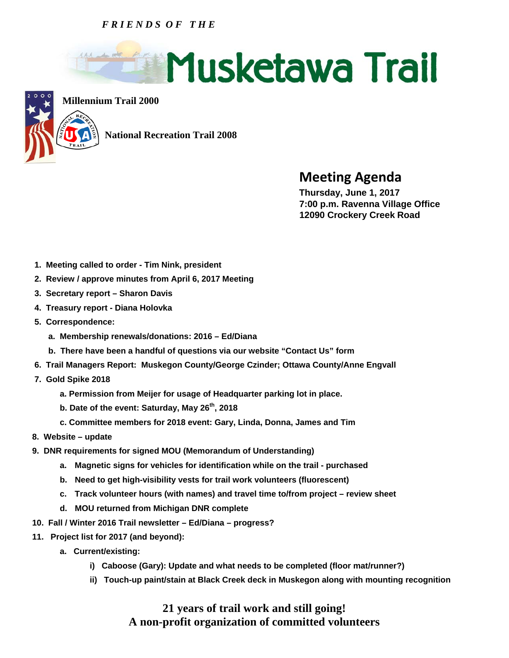## *F R I E N D S O F T H E*





**Millennium Trail 2000**

 **National Recreation Trail 2008** 

## **Meeting Agenda Thursday, June 1, 2017**

 **7:00 p.m. Ravenna Village Office 12090 Crockery Creek Road** 

- **1. Meeting called to order Tim Nink, president**
- **2. Review / approve minutes from April 6, 2017 Meeting**
- **3. Secretary report Sharon Davis**
- **4. Treasury report Diana Holovka**
- **5. Correspondence:** 
	- **a. Membership renewals/donations: 2016 Ed/Diana**
	- **b. There have been a handful of questions via our website "Contact Us" form**
- **6. Trail Managers Report: Muskegon County/George Czinder; Ottawa County/Anne Engvall**
- **7. Gold Spike 2018** 
	- **a. Permission from Meijer for usage of Headquarter parking lot in place.**
	- **b. Date of the event: Saturday, May 26th, 2018**
	- **c. Committee members for 2018 event: Gary, Linda, Donna, James and Tim**
- **8. Website update**
- **9. DNR requirements for signed MOU (Memorandum of Understanding)** 
	- **a. Magnetic signs for vehicles for identification while on the trail purchased**
	- **b. Need to get high-visibility vests for trail work volunteers (fluorescent)**
	- **c. Track volunteer hours (with names) and travel time to/from project review sheet**
	- **d. MOU returned from Michigan DNR complete**
- **10. Fall / Winter 2016 Trail newsletter Ed/Diana progress?**
- **11. Project list for 2017 (and beyond):** 
	- **a. Current/existing:** 
		- **i) Caboose (Gary): Update and what needs to be completed (floor mat/runner?)**
		- **ii) Touch-up paint/stain at Black Creek deck in Muskegon along with mounting recognition**

## **21 years of trail work and still going! A non-profit organization of committed volunteers**